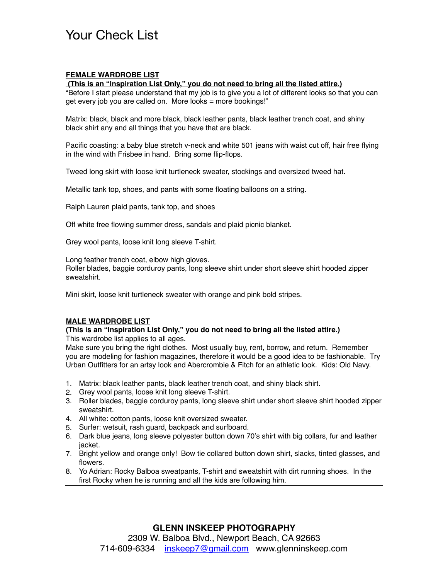## Your Check List

### **FEMALE WARDROBE LIST**

#### **(This is an "Inspiration List Only," you do not need to bring all the listed attire.)**

"Before I start please understand that my job is to give you a lot of different looks so that you can get every job you are called on. More looks = more bookings!"

Matrix: black, black and more black, black leather pants, black leather trench coat, and shiny black shirt any and all things that you have that are black.

Pacific coasting: a baby blue stretch v-neck and white 501 jeans with waist cut off, hair free flying in the wind with Frisbee in hand. Bring some flip-flops.

Tweed long skirt with loose knit turtleneck sweater, stockings and oversized tweed hat.

Metallic tank top, shoes, and pants with some floating balloons on a string.

Ralph Lauren plaid pants, tank top, and shoes

Off white free flowing summer dress, sandals and plaid picnic blanket.

Grey wool pants, loose knit long sleeve T-shirt.

Long feather trench coat, elbow high gloves.

Roller blades, baggie corduroy pants, long sleeve shirt under short sleeve shirt hooded zipper sweatshirt.

Mini skirt, loose knit turtleneck sweater with orange and pink bold stripes.

#### **MALE WARDROBE LIST**

#### **(This is an "Inspiration List Only," you do not need to bring all the listed attire.)**

This wardrobe list applies to all ages.

Make sure you bring the right clothes. Most usually buy, rent, borrow, and return. Remember you are modeling for fashion magazines, therefore it would be a good idea to be fashionable. Try Urban Outfitters for an artsy look and Abercrombie & Fitch for an athletic look. Kids: Old Navy.

- 1. Matrix: black leather pants, black leather trench coat, and shiny black shirt.
- 2. Grey wool pants, loose knit long sleeve T-shirt.
- 3. Roller blades, baggie corduroy pants, long sleeve shirt under short sleeve shirt hooded zipper sweatshirt.
- 4. All white: cotton pants, loose knit oversized sweater.
- 5. Surfer: wetsuit, rash guard, backpack and surfboard.
- 6. Dark blue jeans, long sleeve polyester button down 70's shirt with big collars, fur and leather jacket.
- 7. Bright yellow and orange only! Bow tie collared button down shirt, slacks, tinted glasses, and flowers.
- 8. Yo Adrian: Rocky Balboa sweatpants, T-shirt and sweatshirt with dirt running shoes. In the first Rocky when he is running and all the kids are following him.

## **GLENN INSKEEP PHOTOGRAPHY**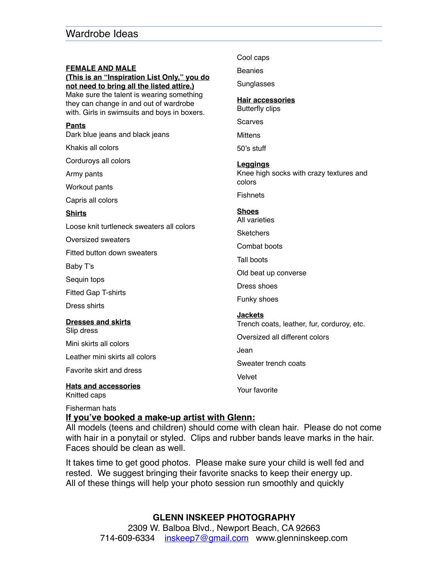|                                                                                                                                                                                                                                                           | Cool caps                                             |
|-----------------------------------------------------------------------------------------------------------------------------------------------------------------------------------------------------------------------------------------------------------|-------------------------------------------------------|
| <b>FEMALE AND MALE</b><br>(This is an "Inspiration List Only," you do<br>not need to bring all the listed attire.)<br>Make sure the talent is wearing something<br>they can change in and out of wardrobe<br>with. Girls in swimsuits and boys in boxers. | <b>Beanies</b>                                        |
|                                                                                                                                                                                                                                                           | Sunglasses                                            |
|                                                                                                                                                                                                                                                           | <b>Hair accessories</b><br><b>Butterfly clips</b>     |
| Pants                                                                                                                                                                                                                                                     | Scarves                                               |
| Dark blue jeans and black jeans                                                                                                                                                                                                                           | <b>Mittens</b>                                        |
| Khakis all colors                                                                                                                                                                                                                                         | 50's stuff                                            |
| Corduroys all colors                                                                                                                                                                                                                                      | Leggings                                              |
| Army pants                                                                                                                                                                                                                                                | Knee high socks with crazy textures and               |
| Workout pants                                                                                                                                                                                                                                             | colors                                                |
| Capris all colors                                                                                                                                                                                                                                         | <b>Fishnets</b>                                       |
| Shirts                                                                                                                                                                                                                                                    | <b>Shoes</b><br>All varieties                         |
| Loose knit turtleneck sweaters all colors                                                                                                                                                                                                                 | <b>Sketchers</b>                                      |
| <b>Oversized sweaters</b>                                                                                                                                                                                                                                 | Combat boots                                          |
| Fitted button down sweaters                                                                                                                                                                                                                               |                                                       |
| Baby T's                                                                                                                                                                                                                                                  | Tall boots                                            |
| Sequin tops                                                                                                                                                                                                                                               | Old beat up converse                                  |
| <b>Fitted Gap T-shirts</b>                                                                                                                                                                                                                                | Dress shoes                                           |
| Dress shirts                                                                                                                                                                                                                                              | Funky shoes                                           |
| <b>Dresses and skirts</b><br>Slip dress                                                                                                                                                                                                                   | Jackets<br>Trench coats, leather, fur, corduroy, etc. |
| Mini skirts all colors                                                                                                                                                                                                                                    | Oversized all different colors                        |
| Leather mini skirts all colors                                                                                                                                                                                                                            | Jean                                                  |
| Favorite skirt and dress                                                                                                                                                                                                                                  | Sweater trench coats                                  |
|                                                                                                                                                                                                                                                           | Velvet                                                |
| <b>Hats and accessories</b><br>Knitted caps                                                                                                                                                                                                               | Your favorite                                         |

Fisherman hats

### **If you've booked a make-up artist with Glenn:**

All models (teens and children) should come with clean hair. Please do not come with hair in a ponytail or styled. Clips and rubber bands leave marks in the hair. Faces should be clean as well.

It takes time to get good photos. Please make sure your child is well fed and rested. We suggest bringing their favorite snacks to keep their energy up. All of these things will help your photo session run smoothly and quickly

## **GLENN INSKEEP PHOTOGRAPHY**

2309 W. Balboa Blvd., Newport Beach, CA 92663 714-609-6334 [inskeep7@gmail.com](mailto:inskeep7@gmail.com) www.glenninskeep.com